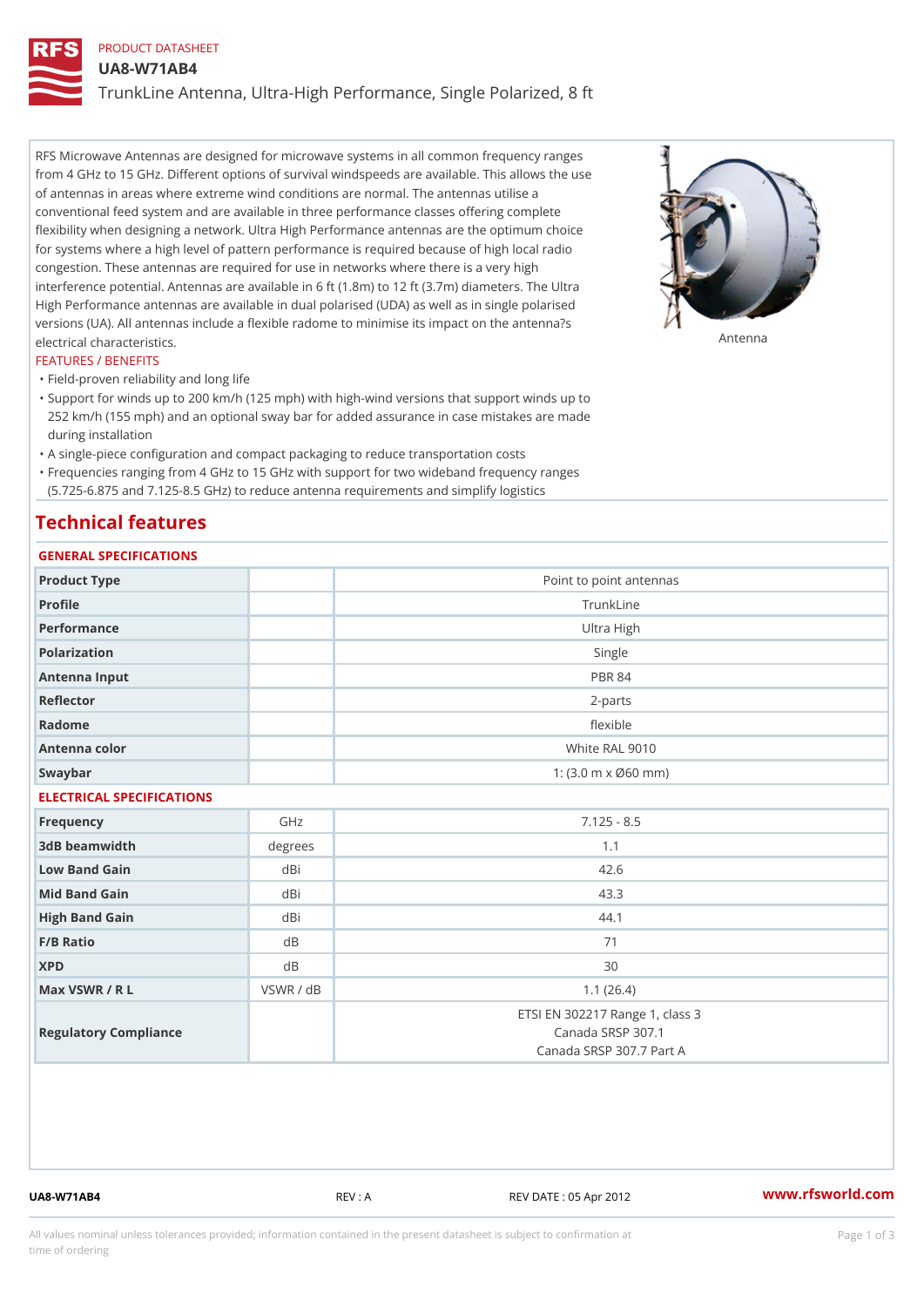### PRODUCT DATASHEET

UA8-W71AB4

TrunkLine Antenna, Ultra-High Performance, Single Polarized, 8 ft

RFS Microwave Antennas are designed for microwave systems in all common frequency ranges from 4 GHz to 15 GHz. Different options of survival windspeeds are available. This allows the use of antennas in areas where extreme wind conditions are normal. The antennas utilise a conventional feed system and are available in three performance classes offering complete flexibility when designing a network. Ultra High Performance antennas are the optimum choice for systems where a high level of pattern performance is required because of high local radio congestion. These antennas are required for use in networks where there is a very high interference potential. Antennas are available in 6 ft (1.8m) to 12 ft (3.7m) diameters. The Ultra High Performance antennas are available in dual polarised (UDA) as well as in single polarised versions (UA). All antennas include a flexible radome to minimise its impact on the antenna?s electrical characteristics. Antenna

#### FEATURES / BENEFITS

"Field-proven reliability and long life

- Support for winds up to 200 km/h (125 mph) with high-wind versions that support winds up to " 252 km/h (155 mph) and an optional sway bar for added assurance in case mistakes are made during installation
- "A single-piece configuration and compact packaging to reduce transportation costs
- Frequencies ranging from 4 GHz to 15 GHz with support for two wideband frequency ranges "
- (5.725-6.875 and 7.125-8.5 GHz) to reduce antenna requirements and simplify logistics

## Technical features

## GENERAL SPECIFICATIONS

| GENERAL SPECIFICATIONS    |                |                                                                                  |  |  |  |
|---------------------------|----------------|----------------------------------------------------------------------------------|--|--|--|
| Product Type              |                | Point to point antennas                                                          |  |  |  |
| Profile                   |                | TrunkLine                                                                        |  |  |  |
| Performance               |                | Ultra High                                                                       |  |  |  |
| Polarization              |                | Single                                                                           |  |  |  |
| Antenna Input             |                | <b>PBR 84</b>                                                                    |  |  |  |
| Reflector                 |                | $2 - p$ arts                                                                     |  |  |  |
| Radome                    |                | flexible                                                                         |  |  |  |
| Antenna color             |                | White RAL 9010                                                                   |  |  |  |
| Swaybar                   |                | 1: $(3.0 \, \text{m} \times \emptyset 60 \, \text{mm})$                          |  |  |  |
| ELECTRICAL SPECIFICATIONS |                |                                                                                  |  |  |  |
| Frequency                 | GHz            | $7.125 - 8.5$                                                                    |  |  |  |
| 3dB beamwidth             | degree:        | 1.1                                                                              |  |  |  |
| Low Band Gain             | dBi            | 42.6                                                                             |  |  |  |
| Mid Band Gain             | dBi            | 43.3                                                                             |  |  |  |
| High Band Gain            | dBi            | 44.1                                                                             |  |  |  |
| $F/B$ Ratio               | d B            | 71                                                                               |  |  |  |
| <b>XPD</b>                | d <sub>B</sub> | 30                                                                               |  |  |  |
| Max VSWR / R L            | VSWR / dB      | 1.1(26.4)                                                                        |  |  |  |
| Regulatory Compliance     |                | ETSI EN 302217 Range 1, class 3<br>Canada SRSP 307.1<br>Canada SRSP 307.7 Part A |  |  |  |

UA8-W71AB4 REV : A REV DATE : 05 Apr 2012 [www.](https://www.rfsworld.com)rfsworld.com

All values nominal unless tolerances provided; information contained in the present datasheet is subject to Pcapgeign mation time of ordering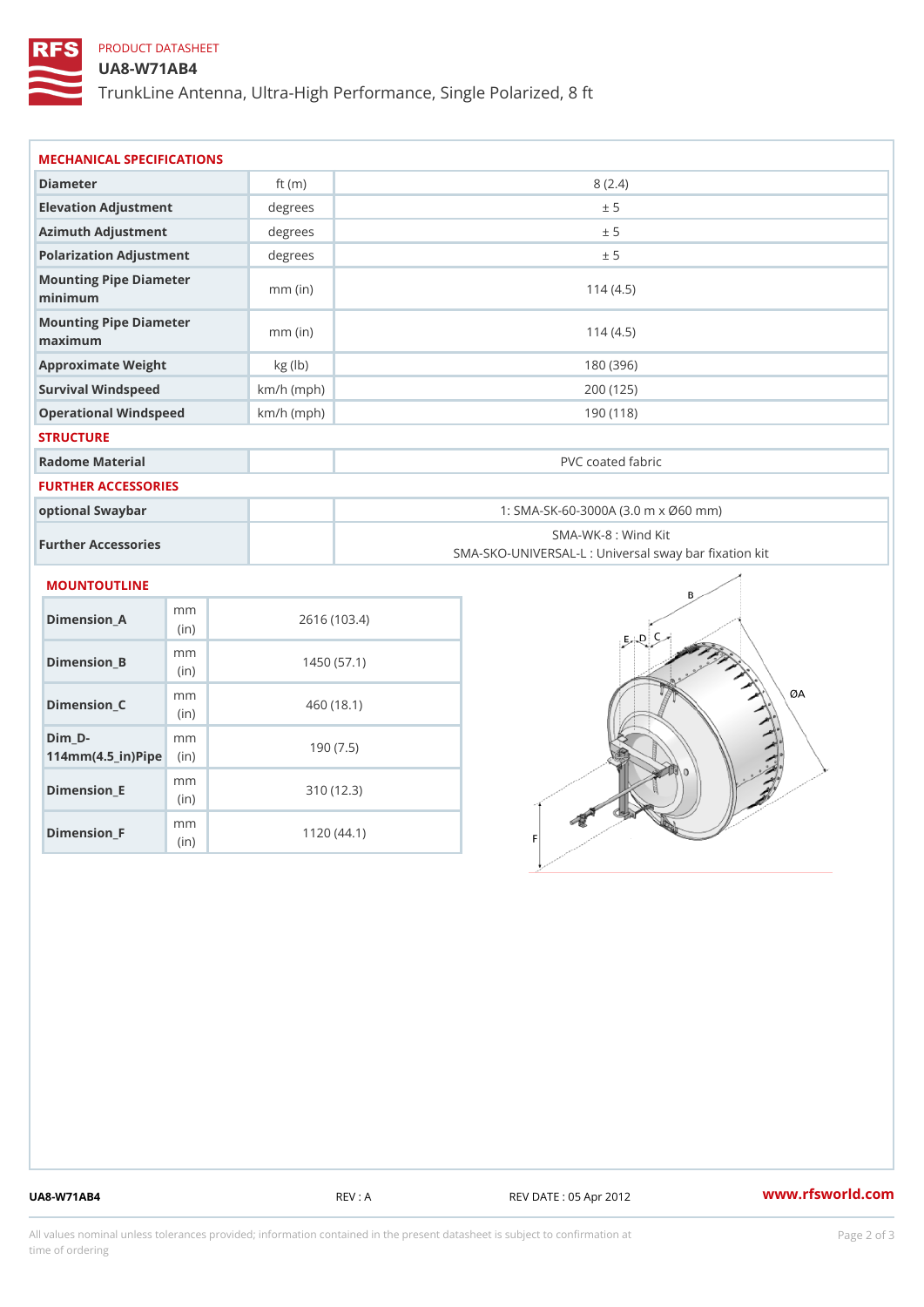## PRODUCT DATASHEET

#### UA8-W71AB4

TrunkLine Antenna, Ultra-High Performance, Single Polarized, 8 ft

| MECHANICAL SPECIFICATIONS                                              |              |              |                                                                          |
|------------------------------------------------------------------------|--------------|--------------|--------------------------------------------------------------------------|
| Diameter                                                               |              | ft $(m)$     | 8(2.4)                                                                   |
| Elevation Adjustment                                                   |              | degree:      | ± 5                                                                      |
| Azimuth Adjustment                                                     |              | degrees      | ± 5                                                                      |
| Polarization Adjustment                                                |              | degrees      | ± 5                                                                      |
| Mounting Pipe Diameter<br>minimum                                      |              | $mm$ (in)    | 114(4.5)                                                                 |
| Mounting Pipe Diameter<br>maximum                                      |              | $mm$ (in)    | 114(4.5)                                                                 |
| Approximate Weight                                                     |              | kg (lb)      | 180 (396)                                                                |
| Survival Windspeed                                                     |              | $km/h$ (mph) | 200 (125)                                                                |
| Operational Windspeed                                                  |              | $km/h$ (mph) | 190(118)                                                                 |
| <b>STRUCTURE</b>                                                       |              |              |                                                                          |
| Radome Material                                                        |              |              | PVC coated fabric                                                        |
| <b>FURTHER ACCESSORIES</b>                                             |              |              |                                                                          |
| optional Swaybar                                                       |              |              | 1: SMA-SK-60-3000A (3.0 m x Ø60 mm)                                      |
| Further Accessories                                                    |              |              | SMA-WK-8 : Wind Kit<br>SMA-SKO-UNIVERSAL-L : Universal sway bar fixation |
| MOUNTOUTLINE                                                           |              |              |                                                                          |
| $Dimension_A$                                                          | m m<br>(i n) |              | 2616 (103.4)                                                             |
| Dimension_B                                                            | m m<br>(in)  |              | 1450(57.1)                                                               |
| $Dimension_C$                                                          | m m<br>(in)  |              | 460 (18.1)                                                               |
| $Dim_D - D -$<br>$114$ m m $(4.5$ ir $)$ $\sqrt{$ ii $\sqrt{p}}$ $\ge$ | m m          |              | 190(7.5)                                                                 |
|                                                                        |              |              |                                                                          |

Dimension\_E

Dimension\_F

mm (in)

m<sub>m</sub> (in)

310 (12.3)

1120 (44.1)

UA8-W71AB4 REV : A REV : A REV DATE : 05 Apr 2012 WWW.rfsworld.com